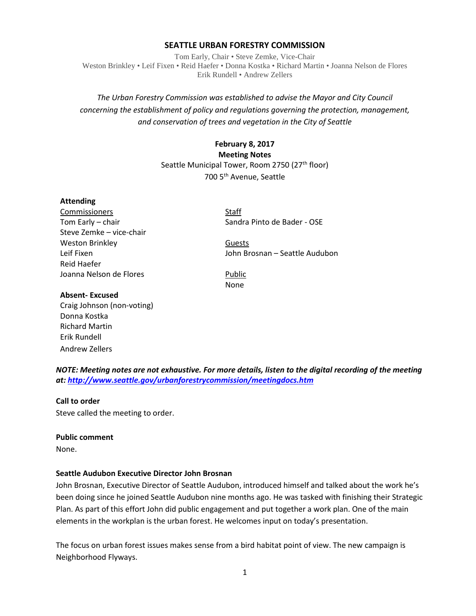## **SEATTLE URBAN FORESTRY COMMISSION**

Tom Early, Chair • Steve Zemke, Vice-Chair Weston Brinkley • Leif Fixen • Reid Haefer • Donna Kostka • Richard Martin • Joanna Nelson de Flores Erik Rundell • Andrew Zellers

# *The Urban Forestry Commission was established to advise the Mayor and City Council concerning the establishment of policy and regulations governing the protection, management, and conservation of trees and vegetation in the City of Seattle*

# **February 8, 2017 Meeting Notes** Seattle Municipal Tower, Room 2750 (27<sup>th</sup> floor) 700 5th Avenue, Seattle

### **Attending**

Commissioners Staff Steve Zemke – vice-chair Weston Brinkley **Guests Guests** Reid Haefer Joanna Nelson de Flores **Public** 

Tom Early – chair Sandra Pinto de Bader - OSE

Leif Fixen John Brosnan – Seattle Audubon

None

#### **Absent- Excused**

Craig Johnson (non-voting) Donna Kostka Richard Martin Erik Rundell Andrew Zellers

*NOTE: Meeting notes are not exhaustive. For more details, listen to the digital recording of the meeting at:<http://www.seattle.gov/urbanforestrycommission/meetingdocs.htm>*

### **Call to order**

Steve called the meeting to order.

### **Public comment**

None.

### **Seattle Audubon Executive Director John Brosnan**

John Brosnan, Executive Director of Seattle Audubon, introduced himself and talked about the work he's been doing since he joined Seattle Audubon nine months ago. He was tasked with finishing their Strategic Plan. As part of this effort John did public engagement and put together a work plan. One of the main elements in the workplan is the urban forest. He welcomes input on today's presentation.

The focus on urban forest issues makes sense from a bird habitat point of view. The new campaign is Neighborhood Flyways.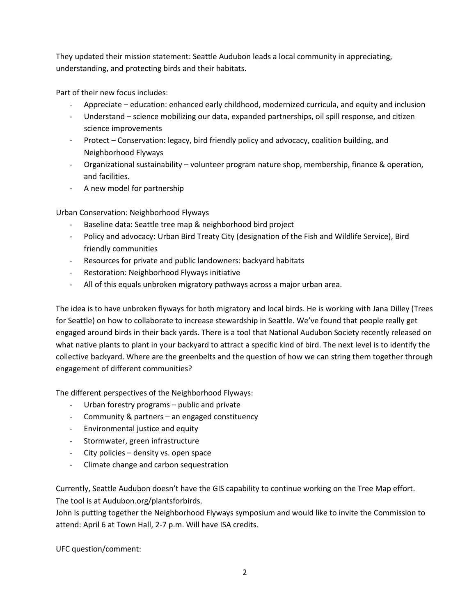They updated their mission statement: Seattle Audubon leads a local community in appreciating, understanding, and protecting birds and their habitats.

Part of their new focus includes:

- Appreciate education: enhanced early childhood, modernized curricula, and equity and inclusion
- Understand science mobilizing our data, expanded partnerships, oil spill response, and citizen science improvements
- Protect Conservation: legacy, bird friendly policy and advocacy, coalition building, and Neighborhood Flyways
- Organizational sustainability volunteer program nature shop, membership, finance & operation, and facilities.
- A new model for partnership

Urban Conservation: Neighborhood Flyways

- Baseline data: Seattle tree map & neighborhood bird project
- Policy and advocacy: Urban Bird Treaty City (designation of the Fish and Wildlife Service), Bird friendly communities
- Resources for private and public landowners: backyard habitats
- Restoration: Neighborhood Flyways initiative
- All of this equals unbroken migratory pathways across a major urban area.

The idea is to have unbroken flyways for both migratory and local birds. He is working with Jana Dilley (Trees for Seattle) on how to collaborate to increase stewardship in Seattle. We've found that people really get engaged around birds in their back yards. There is a tool that National Audubon Society recently released on what native plants to plant in your backyard to attract a specific kind of bird. The next level is to identify the collective backyard. Where are the greenbelts and the question of how we can string them together through engagement of different communities?

The different perspectives of the Neighborhood Flyways:

- Urban forestry programs public and private
- Community & partners an engaged constituency
- Environmental justice and equity
- Stormwater, green infrastructure
- City policies density vs. open space
- Climate change and carbon sequestration

Currently, Seattle Audubon doesn't have the GIS capability to continue working on the Tree Map effort. The tool is at Audubon.org/plantsforbirds.

John is putting together the Neighborhood Flyways symposium and would like to invite the Commission to attend: April 6 at Town Hall, 2-7 p.m. Will have ISA credits.

UFC question/comment: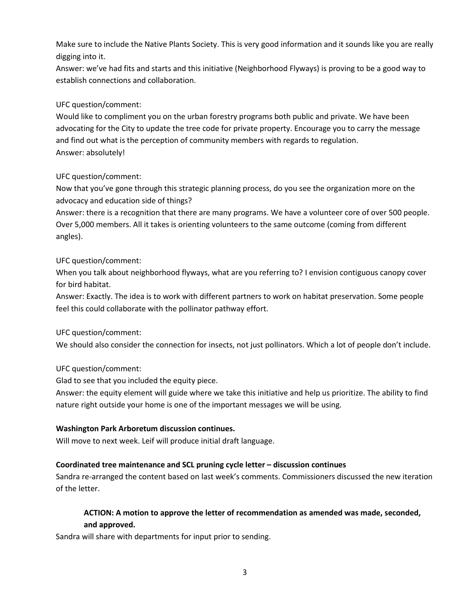Make sure to include the Native Plants Society. This is very good information and it sounds like you are really digging into it.

Answer: we've had fits and starts and this initiative (Neighborhood Flyways) is proving to be a good way to establish connections and collaboration.

# UFC question/comment:

Would like to compliment you on the urban forestry programs both public and private. We have been advocating for the City to update the tree code for private property. Encourage you to carry the message and find out what is the perception of community members with regards to regulation. Answer: absolutely!

# UFC question/comment:

Now that you've gone through this strategic planning process, do you see the organization more on the advocacy and education side of things?

Answer: there is a recognition that there are many programs. We have a volunteer core of over 500 people. Over 5,000 members. All it takes is orienting volunteers to the same outcome (coming from different angles).

# UFC question/comment:

When you talk about neighborhood flyways, what are you referring to? I envision contiguous canopy cover for bird habitat.

Answer: Exactly. The idea is to work with different partners to work on habitat preservation. Some people feel this could collaborate with the pollinator pathway effort.

## UFC question/comment:

We should also consider the connection for insects, not just pollinators. Which a lot of people don't include.

## UFC question/comment:

Glad to see that you included the equity piece.

Answer: the equity element will guide where we take this initiative and help us prioritize. The ability to find nature right outside your home is one of the important messages we will be using.

## **Washington Park Arboretum discussion continues.**

Will move to next week. Leif will produce initial draft language.

## **Coordinated tree maintenance and SCL pruning cycle letter – discussion continues**

Sandra re-arranged the content based on last week's comments. Commissioners discussed the new iteration of the letter.

# **ACTION: A motion to approve the letter of recommendation as amended was made, seconded, and approved.**

Sandra will share with departments for input prior to sending.